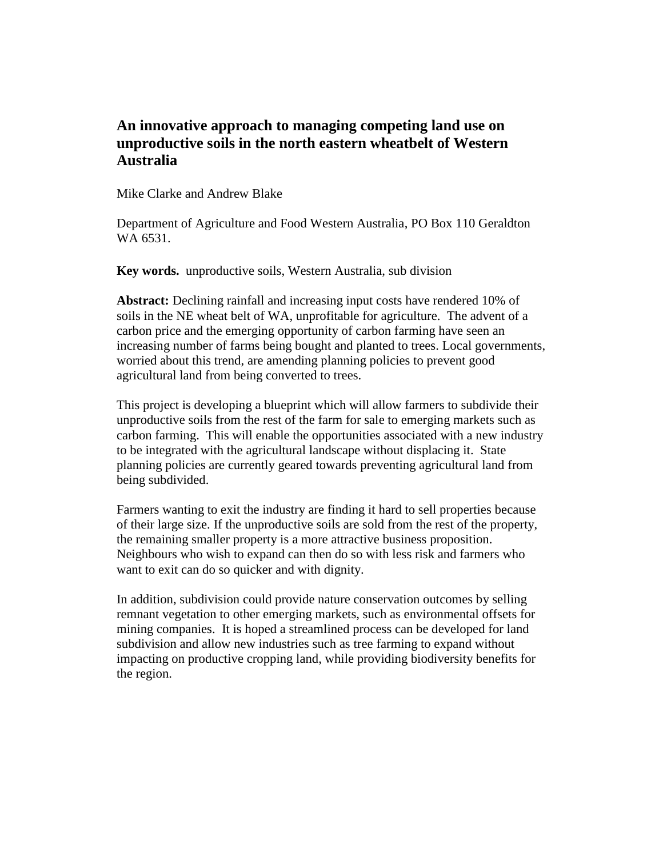# **An innovative approach to managing competing land use on unproductive soils in the north eastern wheatbelt of Western Australia**

Mike Clarke and Andrew Blake

Department of Agriculture and Food Western Australia, PO Box 110 Geraldton WA 6531.

**Key words.** unproductive soils, Western Australia, sub division

**Abstract:** Declining rainfall and increasing input costs have rendered 10% of soils in the NE wheat belt of WA, unprofitable for agriculture. The advent of a carbon price and the emerging opportunity of carbon farming have seen an increasing number of farms being bought and planted to trees. Local governments, worried about this trend, are amending planning policies to prevent good agricultural land from being converted to trees.

This project is developing a blueprint which will allow farmers to subdivide their unproductive soils from the rest of the farm for sale to emerging markets such as carbon farming. This will enable the opportunities associated with a new industry to be integrated with the agricultural landscape without displacing it. State planning policies are currently geared towards preventing agricultural land from being subdivided.

Farmers wanting to exit the industry are finding it hard to sell properties because of their large size. If the unproductive soils are sold from the rest of the property, the remaining smaller property is a more attractive business proposition. Neighbours who wish to expand can then do so with less risk and farmers who want to exit can do so quicker and with dignity.

In addition, subdivision could provide nature conservation outcomes by selling remnant vegetation to other emerging markets, such as environmental offsets for mining companies. It is hoped a streamlined process can be developed for land subdivision and allow new industries such as tree farming to expand without impacting on productive cropping land, while providing biodiversity benefits for the region.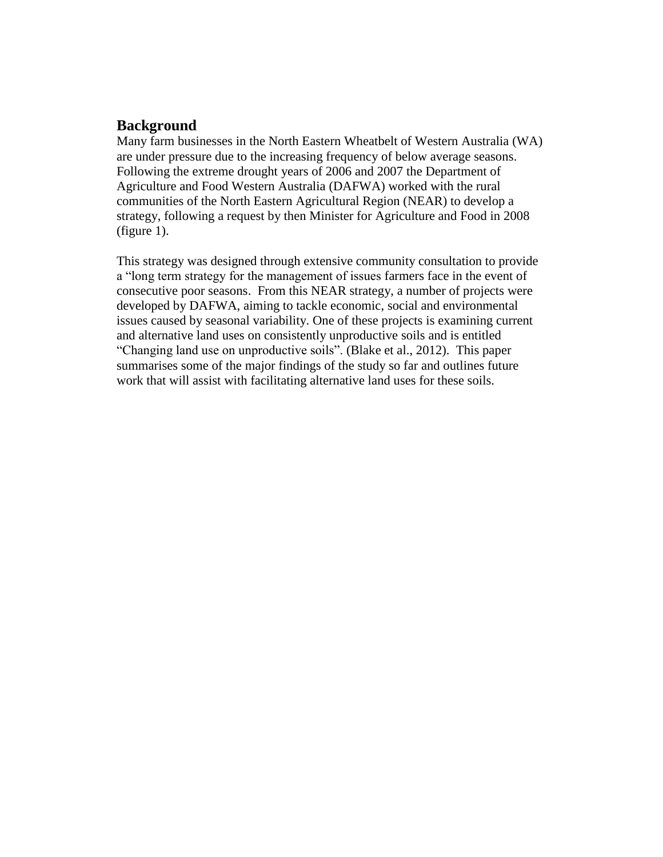#### **Background**

Many farm businesses in the North Eastern Wheatbelt of Western Australia (WA) are under pressure due to the increasing frequency of below average seasons. Following the extreme drought years of 2006 and 2007 the Department of Agriculture and Food Western Australia (DAFWA) worked with the rural communities of the North Eastern Agricultural Region (NEAR) to develop a strategy, following a request by then Minister for Agriculture and Food in 2008 (figure 1).

This strategy was designed through extensive community consultation to provide a "long term strategy for the management of issues farmers face in the event of consecutive poor seasons. From this NEAR strategy, a number of projects were developed by DAFWA, aiming to tackle economic, social and environmental issues caused by seasonal variability. One of these projects is examining current and alternative land uses on consistently unproductive soils and is entitled "Changing land use on unproductive soils". (Blake et al., 2012). This paper summarises some of the major findings of the study so far and outlines future work that will assist with facilitating alternative land uses for these soils.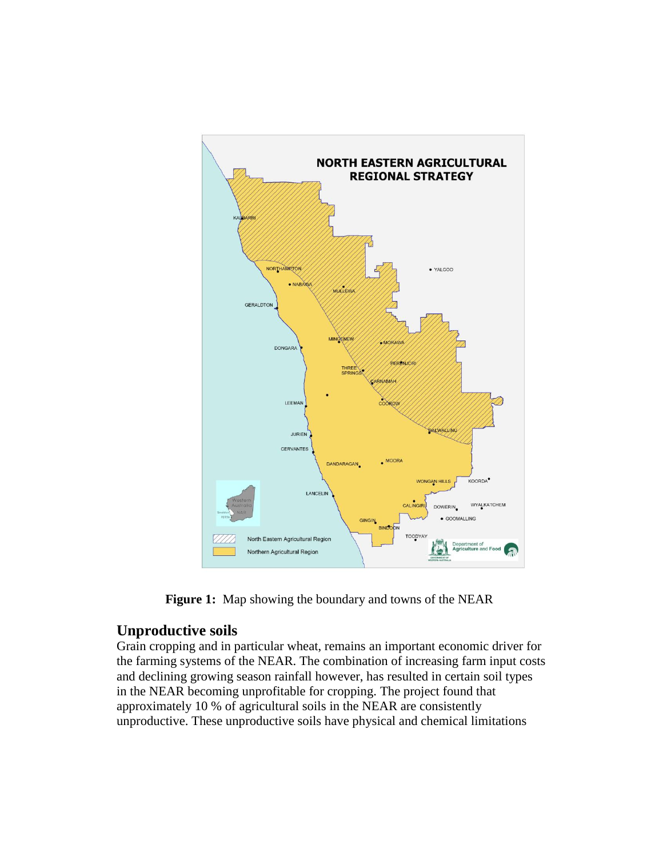

 **Figure 1:** Map showing the boundary and towns of the NEAR

## **Unproductive soils**

Grain cropping and in particular wheat, remains an important economic driver for the farming systems of the NEAR. The combination of increasing farm input costs and declining growing season rainfall however, has resulted in certain soil types in the NEAR becoming unprofitable for cropping. The project found that approximately 10 % of agricultural soils in the NEAR are consistently unproductive. These unproductive soils have physical and chemical limitations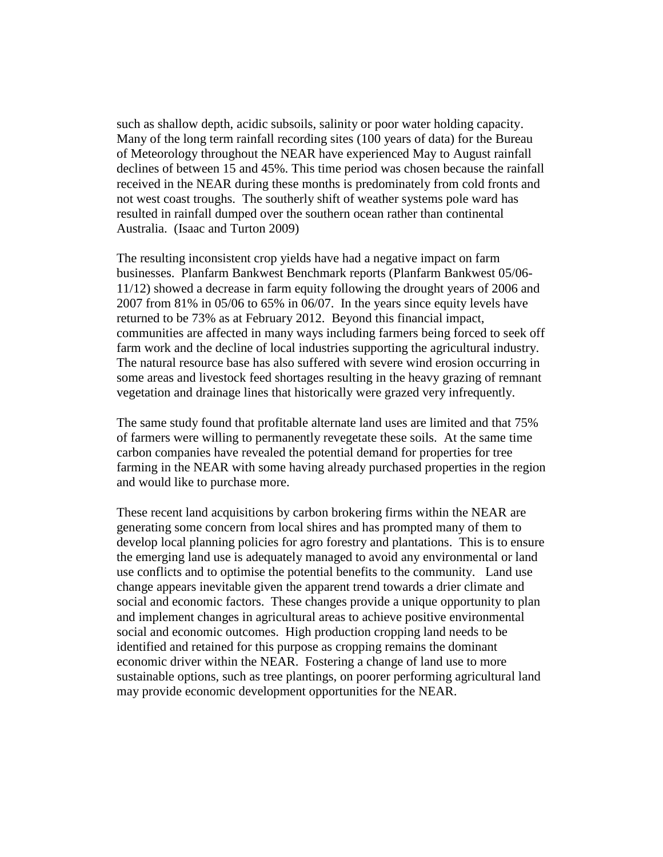such as shallow depth, acidic subsoils, salinity or poor water holding capacity. Many of the long term rainfall recording sites (100 years of data) for the Bureau of Meteorology throughout the NEAR have experienced May to August rainfall declines of between 15 and 45%. This time period was chosen because the rainfall received in the NEAR during these months is predominately from cold fronts and not west coast troughs. The southerly shift of weather systems pole ward has resulted in rainfall dumped over the southern ocean rather than continental Australia. [\(Isaac](http://www.google.com.au/search?tbo=p&tbm=bks&q=inauthor:%22Dr.+Joanne+Isaac%22&source=gbs_metadata_r&cad=2) and [Turton](http://www.google.com.au/search?tbo=p&tbm=bks&q=inauthor:%22Steve+Turton%22&source=gbs_metadata_r&cad=2) 2009)

The resulting inconsistent crop yields have had a negative impact on farm businesses. Planfarm Bankwest Benchmark reports (Planfarm Bankwest 05/06- 11/12) showed a decrease in farm equity following the drought years of 2006 and 2007 from 81% in 05/06 to 65% in 06/07. In the years since equity levels have returned to be 73% as at February 2012. Beyond this financial impact, communities are affected in many ways including farmers being forced to seek off farm work and the decline of local industries supporting the agricultural industry. The natural resource base has also suffered with severe wind erosion occurring in some areas and livestock feed shortages resulting in the heavy grazing of remnant vegetation and drainage lines that historically were grazed very infrequently.

The same study found that profitable alternate land uses are limited and that 75% of farmers were willing to permanently revegetate these soils. At the same time carbon companies have revealed the potential demand for properties for tree farming in the NEAR with some having already purchased properties in the region and would like to purchase more.

These recent land acquisitions by carbon brokering firms within the NEAR are generating some concern from local shires and has prompted many of them to develop local planning policies for agro forestry and plantations. This is to ensure the emerging land use is adequately managed to avoid any environmental or land use conflicts and to optimise the potential benefits to the community. Land use change appears inevitable given the apparent trend towards a drier climate and social and economic factors. These changes provide a unique opportunity to plan and implement changes in agricultural areas to achieve positive environmental social and economic outcomes. High production cropping land needs to be identified and retained for this purpose as cropping remains the dominant economic driver within the NEAR. Fostering a change of land use to more sustainable options, such as tree plantings, on poorer performing agricultural land may provide economic development opportunities for the NEAR.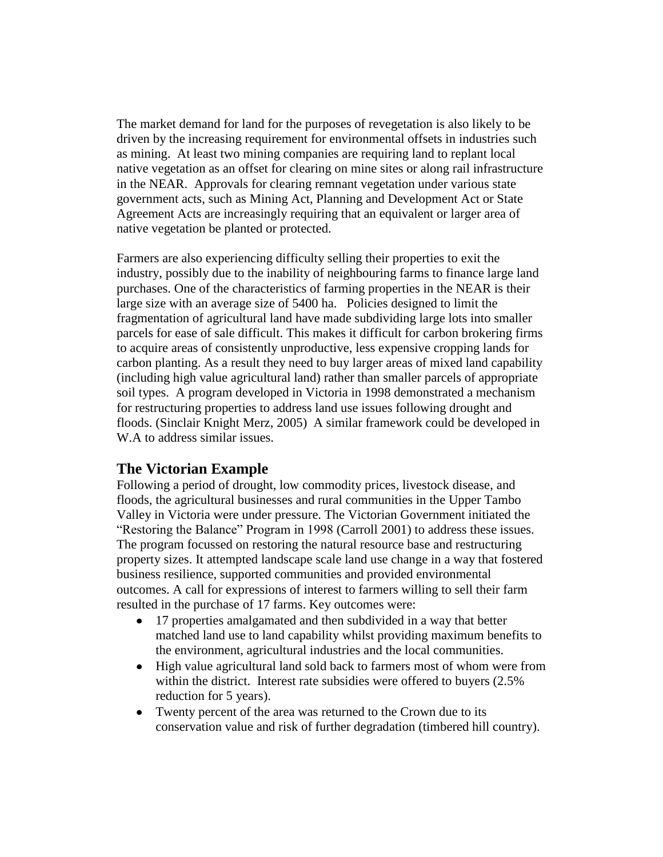The market demand for land for the purposes of revegetation is also likely to be driven by the increasing requirement for environmental offsets in industries such as mining. At least two mining companies are requiring land to replant local native vegetation as an offset for clearing on mine sites or along rail infrastructure in the NEAR. Approvals for clearing remnant vegetation under various state government acts, such as Mining Act, Planning and Development Act or State Agreement Acts are increasingly requiring that an equivalent or larger area of native vegetation be planted or protected.

Farmers are also experiencing difficulty selling their properties to exit the industry, possibly due to the inability of neighbouring farms to finance large land purchases. One of the characteristics of farming properties in the NEAR is their large size with an average size of 5400 ha. Policies designed to limit the fragmentation of agricultural land have made subdividing large lots into smaller parcels for ease of sale difficult. This makes it difficult for carbon brokering firms to acquire areas of consistently unproductive, less expensive cropping lands for carbon planting. As a result they need to buy larger areas of mixed land capability (including high value agricultural land) rather than smaller parcels of appropriate soil types. A program developed in Victoria in 1998 demonstrated a mechanism for restructuring properties to address land use issues following drought and floods. (Sinclair Knight Merz, 2005) A similar framework could be developed in W.A to address similar issues.

#### **The Victorian Example**

Following a period of drought, low commodity prices, livestock disease, and floods, the agricultural businesses and rural communities in the Upper Tambo Valley in Victoria were under pressure. The Victorian Government initiated the "Restoring the Balance" Program in 1998 (Carroll 2001) to address these issues. The program focussed on restoring the natural resource base and restructuring property sizes. It attempted landscape scale land use change in a way that fostered business resilience, supported communities and provided environmental outcomes. A call for expressions of interest to farmers willing to sell their farm resulted in the purchase of 17 farms. Key outcomes were:

- 17 properties amalgamated and then subdivided in a way that better  $\bullet$ matched land use to land capability whilst providing maximum benefits to the environment, agricultural industries and the local communities.
- High value agricultural land sold back to farmers most of whom were from  $\bullet$ within the district. Interest rate subsidies were offered to buyers (2.5% reduction for 5 years).
- Twenty percent of the area was returned to the Crown due to its  $\bullet$ conservation value and risk of further degradation (timbered hill country).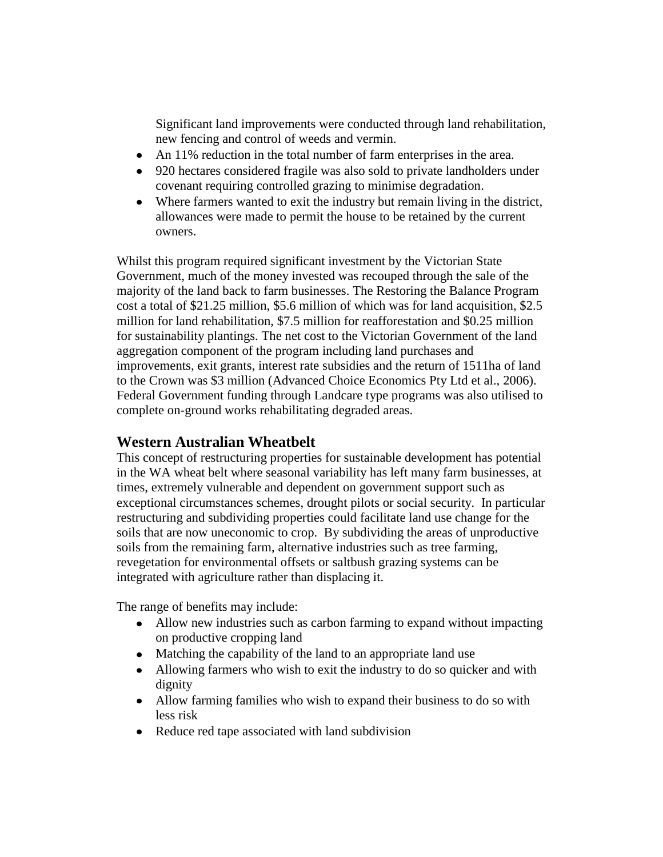Significant land improvements were conducted through land rehabilitation, new fencing and control of weeds and vermin.

- An 11% reduction in the total number of farm enterprises in the area.
- 920 hectares considered fragile was also sold to private landholders under covenant requiring controlled grazing to minimise degradation.
- Where farmers wanted to exit the industry but remain living in the district, allowances were made to permit the house to be retained by the current owners.

Whilst this program required significant investment by the Victorian State Government, much of the money invested was recouped through the sale of the majority of the land back to farm businesses. The Restoring the Balance Program cost a total of \$21.25 million, \$5.6 million of which was for land acquisition, \$2.5 million for land rehabilitation, \$7.5 million for reafforestation and \$0.25 million for sustainability plantings. The net cost to the Victorian Government of the land aggregation component of the program including land purchases and improvements, exit grants, interest rate subsidies and the return of 1511ha of land to the Crown was \$3 million (Advanced Choice Economics Pty Ltd et al., 2006). Federal Government funding through Landcare type programs was also utilised to complete on-ground works rehabilitating degraded areas.

## **Western Australian Wheatbelt**

This concept of restructuring properties for sustainable development has potential in the WA wheat belt where seasonal variability has left many farm businesses, at times, extremely vulnerable and dependent on government support such as exceptional circumstances schemes, drought pilots or social security. In particular restructuring and subdividing properties could facilitate land use change for the soils that are now uneconomic to crop. By subdividing the areas of unproductive soils from the remaining farm, alternative industries such as tree farming, revegetation for environmental offsets or saltbush grazing systems can be integrated with agriculture rather than displacing it.

The range of benefits may include:

- Allow new industries such as carbon farming to expand without impacting on productive cropping land
- Matching the capability of the land to an appropriate land use
- Allowing farmers who wish to exit the industry to do so quicker and with dignity
- Allow farming families who wish to expand their business to do so with less risk
- Reduce red tape associated with land subdivision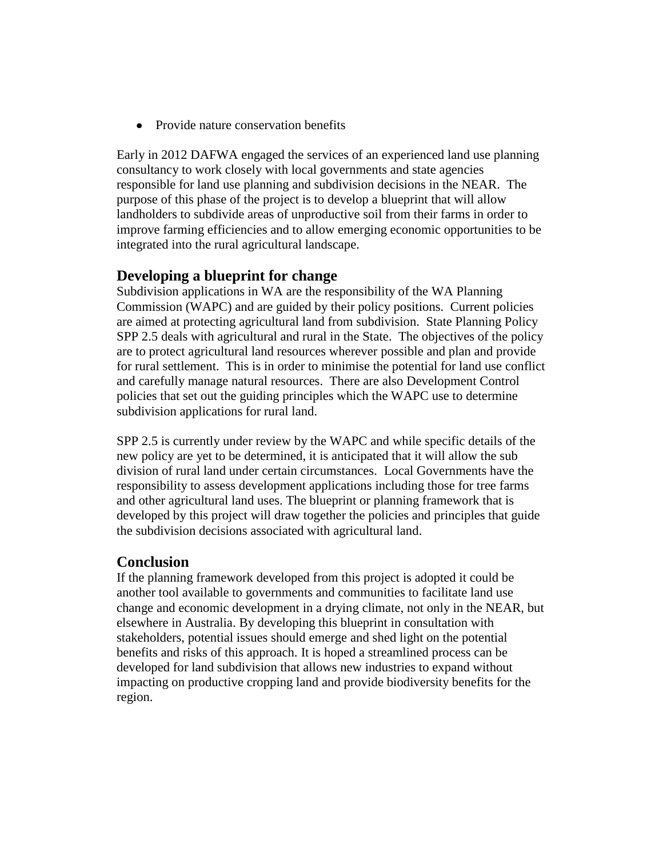Provide nature conservation benefits  $\bullet$ 

Early in 2012 DAFWA engaged the services of an experienced land use planning consultancy to work closely with local governments and state agencies responsible for land use planning and subdivision decisions in the NEAR. The purpose of this phase of the project is to develop a blueprint that will allow landholders to subdivide areas of unproductive soil from their farms in order to improve farming efficiencies and to allow emerging economic opportunities to be integrated into the rural agricultural landscape.

## **Developing a blueprint for change**

Subdivision applications in WA are the responsibility of the WA Planning Commission (WAPC) and are guided by their policy positions. Current policies are aimed at protecting agricultural land from subdivision. State Planning Policy SPP 2.5 deals with agricultural and rural in the State. The objectives of the policy are to protect agricultural land resources wherever possible and plan and provide for rural settlement. This is in order to minimise the potential for land use conflict and carefully manage natural resources. There are also Development Control policies that set out the guiding principles which the WAPC use to determine subdivision applications for rural land.

SPP 2.5 is currently under review by the WAPC and while specific details of the new policy are yet to be determined, it is anticipated that it will allow the sub division of rural land under certain circumstances. Local Governments have the responsibility to assess development applications including those for tree farms and other agricultural land uses. The blueprint or planning framework that is developed by this project will draw together the policies and principles that guide the subdivision decisions associated with agricultural land.

## **Conclusion**

If the planning framework developed from this project is adopted it could be another tool available to governments and communities to facilitate land use change and economic development in a drying climate, not only in the NEAR, but elsewhere in Australia. By developing this blueprint in consultation with stakeholders, potential issues should emerge and shed light on the potential benefits and risks of this approach. It is hoped a streamlined process can be developed for land subdivision that allows new industries to expand without impacting on productive cropping land and provide biodiversity benefits for the region.